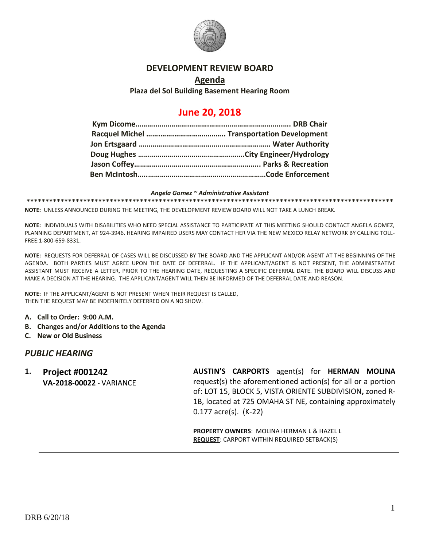

### **DEVELOPMENT REVIEW BOARD**

### **Agenda Plaza del Sol Building Basement Hearing Room**

# **June 20, 2018**

#### *Angela Gomez ~ Administrative Assistant*

**\*\*\*\*\*\*\*\*\*\*\*\*\*\*\*\*\*\*\*\*\*\*\*\*\*\*\*\*\*\*\*\*\*\*\*\*\*\*\*\*\*\*\*\*\*\*\*\*\*\*\*\*\*\*\*\*\*\*\*\*\*\*\*\*\*\*\*\*\*\*\*\*\*\*\*\*\*\*\*\*\*\*\*\*\*\*\*\*\*\*\*\*\*\*\*\*\***

**NOTE:** UNLESS ANNOUNCED DURING THE MEETING, THE DEVELOPMENT REVIEW BOARD WILL NOT TAKE A LUNCH BREAK.

**NOTE:** INDIVIDUALS WITH DISABILITIES WHO NEED SPECIAL ASSISTANCE TO PARTICIPATE AT THIS MEETING SHOULD CONTACT ANGELA GOMEZ, PLANNING DEPARTMENT, AT 924-3946. HEARING IMPAIRED USERS MAY CONTACT HER VIA THE NEW MEXICO RELAY NETWORK BY CALLING TOLL-FREE:1-800-659-8331.

**NOTE:** REQUESTS FOR DEFERRAL OF CASES WILL BE DISCUSSED BY THE BOARD AND THE APPLICANT AND/OR AGENT AT THE BEGINNING OF THE AGENDA. BOTH PARTIES MUST AGREE UPON THE DATE OF DEFERRAL. IF THE APPLICANT/AGENT IS NOT PRESENT, THE ADMINISTRATIVE ASSISTANT MUST RECEIVE A LETTER, PRIOR TO THE HEARING DATE, REQUESTING A SPECIFIC DEFERRAL DATE. THE BOARD WILL DISCUSS AND MAKE A DECISION AT THE HEARING. THE APPLICANT/AGENT WILL THEN BE INFORMED OF THE DEFERRAL DATE AND REASON.

**NOTE:** IF THE APPLICANT/AGENT IS NOT PRESENT WHEN THEIR REQUEST IS CALLED, THEN THE REQUEST MAY BE INDEFINITELY DEFERRED ON A NO SHOW.

- **A. Call to Order: 9:00 A.M.**
- **B. Changes and/or Additions to the Agenda**
- **C. New or Old Business**

### *PUBLIC HEARING*

**1. Project #001242 VA-2018-00022** - VARIANCE **AUSTIN'S CARPORTS** agent(s) for **HERMAN MOLINA** request(s) the aforementioned action(s) for all or a portion of: LOT 15, BLOCK 5, VISTA ORIENTE SUBDIVISION**,** zoned R-1B, located at 725 OMAHA ST NE, containing approximately 0.177 acre(s). (K-22)

**PROPERTY OWNERS**: MOLINA HERMAN L & HAZEL L **REQUEST**: CARPORT WITHIN REQUIRED SETBACK(S)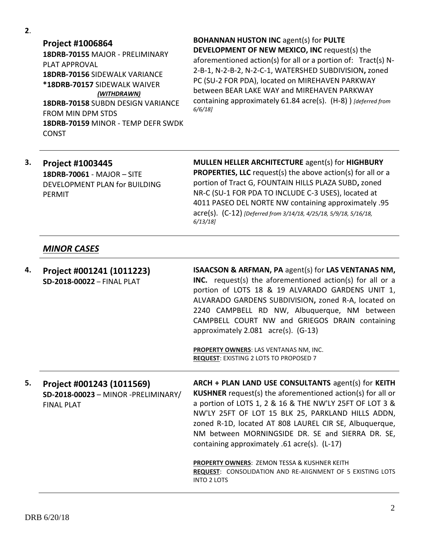**2**.

**Project #1006864 18DRB-70155** MAJOR - PRELIMINARY PLAT APPROVAL **18DRB-70156** SIDEWALK VARIANCE **\*18DRB-70157** SIDEWALK WAIVER *(WITHDRAWN)* **18DRB-70158** SUBDN DESIGN VARIANCE FROM MIN DPM STDS **18DRB-70159** MINOR - TEMP DEFR SWDK CONST

**BOHANNAN HUSTON INC** agent(s) for **PULTE DEVELOPMENT OF NEW MEXICO, INC** request(s) the aforementioned action(s) for all or a portion of: Tract(s) N-2-B-1, N-2-B-2, N-2-C-1, WATERSHED SUBDIVISION**,** zoned PC (SU-2 FOR PDA), located on MIREHAVEN PARKWAY between BEAR LAKE WAY and MIREHAVEN PARKWAY containing approximately 61.84 acre(s). (H-8) ) *[deferred from 6/6/18]*

### **3. Project #1003445 18DRB-70061** - MAJOR – SITE DEVELOPMENT PLAN for BUILDING PERMIT

**MULLEN HELLER ARCHITECTURE** agent(s) for **HIGHBURY PROPERTIES, LLC** request(s) the above action(s) for all or a portion of Tract G, FOUNTAIN HILLS PLAZA SUBD**,** zoned NR-C (SU-1 FOR PDA TO INCLUDE C-3 USES), located at 4011 PASEO DEL NORTE NW containing approximately .95 acre(s). (C-12) *[Deferred from 3/14/18, 4/25/18, 5/9/18, 5/16/18, 6/13/18]*

## *MINOR CASES*

| 4. | Project #001241 (1011223)<br>SD-2018-00022 - FINAL PLAT                               | <b>ISAACSON &amp; ARFMAN, PA agent(s) for LAS VENTANAS NM,</b><br><b>INC.</b> request(s) the aforementioned action(s) for all or a<br>portion of LOTS 18 & 19 ALVARADO GARDENS UNIT 1,<br>ALVARADO GARDENS SUBDIVISION, zoned R-A, located on<br>2240 CAMPBELL RD NW, Albuquerque, NM between<br>CAMPBELL COURT NW and GRIEGOS DRAIN containing<br>approximately 2.081 acre(s). (G-13)<br><b>PROPERTY OWNERS: LAS VENTANAS NM, INC.</b> |
|----|---------------------------------------------------------------------------------------|-----------------------------------------------------------------------------------------------------------------------------------------------------------------------------------------------------------------------------------------------------------------------------------------------------------------------------------------------------------------------------------------------------------------------------------------|
|    |                                                                                       | <b>REQUEST: EXISTING 2 LOTS TO PROPOSED 7</b>                                                                                                                                                                                                                                                                                                                                                                                           |
|    |                                                                                       |                                                                                                                                                                                                                                                                                                                                                                                                                                         |
| 5. | Project #001243 (1011569)<br>SD-2018-00023 - MINOR -PRELIMINARY/<br><b>FINAL PLAT</b> | ARCH + PLAN LAND USE CONSULTANTS agent(s) for KEITH<br><b>KUSHNER</b> request(s) the aforementioned action(s) for all or<br>a portion of LOTS 1, 2 & 16 & THE NW'LY 25FT OF LOT 3 &<br>NW'LY 25FT OF LOT 15 BLK 25, PARKLAND HILLS ADDN,<br>zoned R-1D, located AT 808 LAUREL CIR SE, Albuquerque,<br>NM between MORNINGSIDE DR. SE and SIERRA DR. SE,<br>containing approximately .61 acre(s). (L-17)                                  |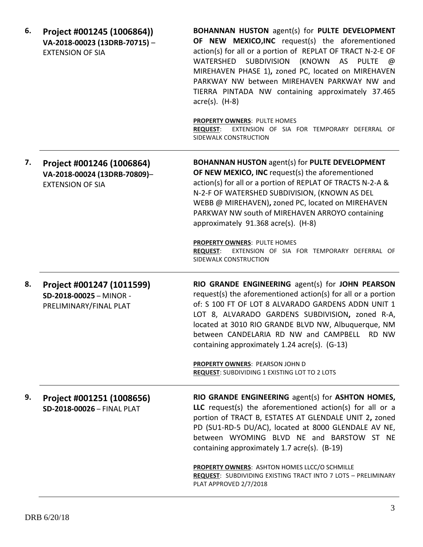| 6. | Project #001245 (1006864))<br>VA-2018-00023 (13DRB-70715) -<br><b>EXTENSION OF SIA</b> | <b>BOHANNAN HUSTON agent(s) for PULTE DEVELOPMENT</b><br>OF NEW MEXICO, INC request(s) the aforementioned<br>action(s) for all or a portion of REPLAT OF TRACT N-2-E OF<br>WATERSHED SUBDIVISION (KNOWN AS PULTE @<br>MIREHAVEN PHASE 1), zoned PC, located on MIREHAVEN<br>PARKWAY NW between MIREHAVEN PARKWAY NW and<br>TIERRA PINTADA NW containing approximately 37.465<br>$\arccos(5)$ . (H-8)<br><b>PROPERTY OWNERS: PULTE HOMES</b><br><b>REQUEST:</b><br>EXTENSION OF SIA FOR TEMPORARY DEFERRAL OF<br>SIDEWALK CONSTRUCTION |
|----|----------------------------------------------------------------------------------------|---------------------------------------------------------------------------------------------------------------------------------------------------------------------------------------------------------------------------------------------------------------------------------------------------------------------------------------------------------------------------------------------------------------------------------------------------------------------------------------------------------------------------------------|
| 7. | Project #001246 (1006864)<br>VA-2018-00024 (13DRB-70809)-<br><b>EXTENSION OF SIA</b>   | <b>BOHANNAN HUSTON agent(s) for PULTE DEVELOPMENT</b><br>OF NEW MEXICO, INC request(s) the aforementioned<br>action(s) for all or a portion of REPLAT OF TRACTS N-2-A &<br>N-2-F OF WATERSHED SUBDIVISION, (KNOWN AS DEL<br>WEBB @ MIREHAVEN), zoned PC, located on MIREHAVEN<br>PARKWAY NW south of MIREHAVEN ARROYO containing<br>approximately 91.368 acre(s). (H-8)<br>PROPERTY OWNERS: PULTE HOMES<br><b>REQUEST:</b><br>EXTENSION OF SIA FOR TEMPORARY DEFERRAL OF<br>SIDEWALK CONSTRUCTION                                     |
| 8. | Project #001247 (1011599)<br>SD-2018-00025 - MINOR -<br>PRELIMINARY/FINAL PLAT         | RIO GRANDE ENGINEERING agent(s) for JOHN PEARSON<br>request(s) the aforementioned action(s) for all or a portion<br>of: S 100 FT OF LOT 8 ALVARADO GARDENS ADDN UNIT 1<br>LOT 8, ALVARADO GARDENS SUBDIVISION, zoned R-A,<br>located at 3010 RIO GRANDE BLVD NW, Albuquerque, NM<br>between CANDELARIA RD NW and CAMPBELL RD NW<br>containing approximately 1.24 acre(s). (G-13)<br><b>PROPERTY OWNERS: PEARSON JOHN D</b><br>REQUEST: SUBDIVIDING 1 EXISTING LOT TO 2 LOTS                                                           |
| 9. | Project #001251 (1008656)<br>SD-2018-00026 - FINAL PLAT                                | RIO GRANDE ENGINEERING agent(s) for ASHTON HOMES,<br>LLC request(s) the aforementioned action(s) for all or a<br>portion of TRACT B, ESTATES AT GLENDALE UNIT 2, zoned<br>PD (SU1-RD-5 DU/AC), located at 8000 GLENDALE AV NE,<br>between WYOMING BLVD NE and BARSTOW ST NE<br>containing approximately 1.7 acre(s). (B-19)<br>PROPERTY OWNERS: ASHTON HOMES LLCC/O SCHMILLE<br>REQUEST: SUBDIVIDING EXISTING TRACT INTO 7 LOTS - PRELIMINARY<br>PLAT APPROVED 2/7/2018                                                               |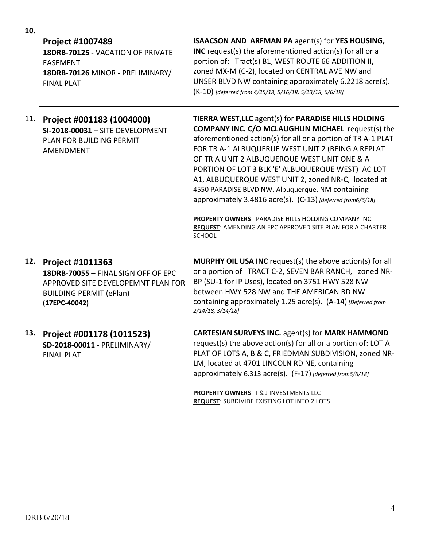| 10. |                                                                                                                                                         |                                                                                                                                                                                                                                                                                                                                                                                                                                                                                                                                                                                                                                                                    |
|-----|---------------------------------------------------------------------------------------------------------------------------------------------------------|--------------------------------------------------------------------------------------------------------------------------------------------------------------------------------------------------------------------------------------------------------------------------------------------------------------------------------------------------------------------------------------------------------------------------------------------------------------------------------------------------------------------------------------------------------------------------------------------------------------------------------------------------------------------|
|     | <b>Project #1007489</b><br>18DRB-70125 - VACATION OF PRIVATE<br><b>EASEMENT</b><br>18DRB-70126 MINOR - PRELIMINARY/<br><b>FINAL PLAT</b>                | ISAACSON AND ARFMAN PA agent(s) for YES HOUSING,<br><b>INC</b> request(s) the aforementioned action(s) for all or a<br>portion of: Tract(s) B1, WEST ROUTE 66 ADDITION II,<br>zoned MX-M (C-2), located on CENTRAL AVE NW and<br>UNSER BLVD NW containing approximately 6.2218 acre(s).<br>(K-10) [deferred from 4/25/18, 5/16/18, 5/23/18, 6/6/18]                                                                                                                                                                                                                                                                                                                |
| 11. | Project #001183 (1004000)<br>SI-2018-00031 - SITE DEVELOPMENT<br>PLAN FOR BUILDING PERMIT<br>AMENDMENT                                                  | TIERRA WEST, LLC agent(s) for PARADISE HILLS HOLDING<br><b>COMPANY INC. C/O MCLAUGHLIN MICHAEL request(s) the</b><br>aforementioned action(s) for all or a portion of TR A-1 PLAT<br>FOR TR A-1 ALBUQUERUE WEST UNIT 2 (BEING A REPLAT<br>OF TR A UNIT 2 ALBUQUERQUE WEST UNIT ONE & A<br>PORTION OF LOT 3 BLK 'E' ALBUQUERQUE WEST) AC LOT<br>A1, ALBUQUERQUE WEST UNIT 2, zoned NR-C, located at<br>4550 PARADISE BLVD NW, Albuquerque, NM containing<br>approximately 3.4816 acre(s). (C-13) [deferred from6/6/18]<br>PROPERTY OWNERS: PARADISE HILLS HOLDING COMPANY INC.<br><b>REQUEST: AMENDING AN EPC APPROVED SITE PLAN FOR A CHARTER</b><br><b>SCHOOL</b> |
| 12. | <b>Project #1011363</b><br>18DRB-70055 - FINAL SIGN OFF OF EPC<br>APPROVED SITE DEVELOPEMNT PLAN FOR<br><b>BUILDING PERMIT (ePlan)</b><br>(17EPC-40042) | <b>MURPHY OIL USA INC</b> request(s) the above action(s) for all<br>or a portion of TRACT C-2, SEVEN BAR RANCH, zoned NR-<br>BP (SU-1 for IP Uses), located on 3751 HWY 528 NW<br>between HWY 528 NW and THE AMERICAN RD NW<br>containing approximately 1.25 acre(s). (A-14) [Deferred from<br>2/14/18, 3/14/18]                                                                                                                                                                                                                                                                                                                                                   |
|     | 13. Project #001178 (1011523)<br>SD-2018-00011 - PRELIMINARY/<br><b>FINAL PLAT</b>                                                                      | <b>CARTESIAN SURVEYS INC. agent(s) for MARK HAMMOND</b><br>request(s) the above action(s) for all or a portion of: LOT A<br>PLAT OF LOTS A, B & C, FRIEDMAN SUBDIVISION, zoned NR-<br>LM, located at 4701 LINCOLN RD NE, containing<br>approximately 6.313 acre(s). (F-17) [deferred from6/6/18]<br><b>PROPERTY OWNERS: 1&amp; J INVESTMENTS LLC</b><br><b>REQUEST: SUBDIVIDE EXISTING LOT INTO 2 LOTS</b>                                                                                                                                                                                                                                                         |